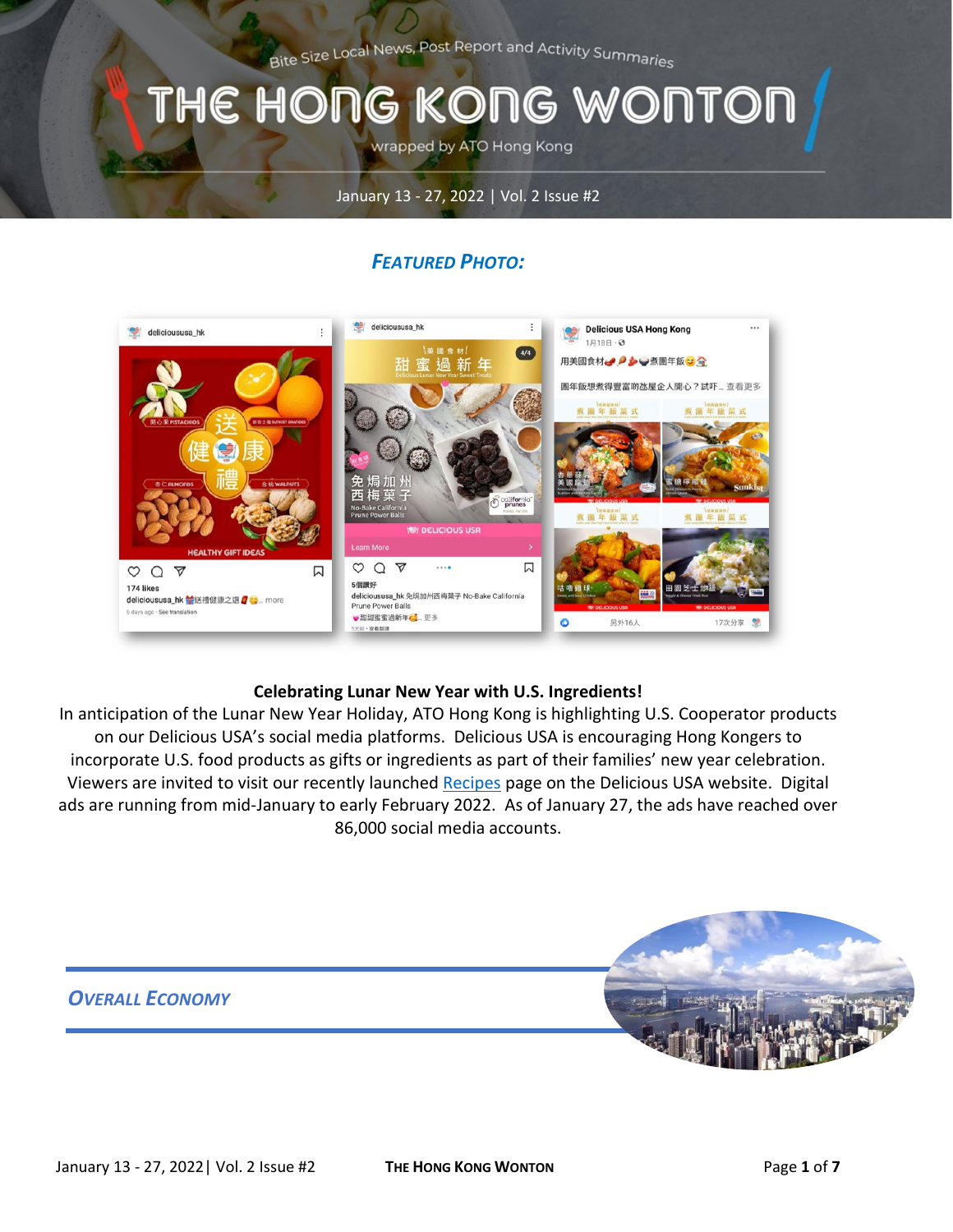Bite Size Local News, Post Report and Activity Summaries

# THE HONG KONG WONTOI

wrapped by ATO Hong Kong

#### January 13 - 27, 2022 | Vol. 2 Issue #2

# *FEATURED PHOTO:*



#### **Celebrating Lunar New Year with U.S. Ingredients!**

In anticipation of the Lunar New Year Holiday, ATO Hong Kong is highlighting U.S. Cooperator products on our Delicious USA's social media platforms. Delicious USA is encouraging Hong Kongers to incorporate U.S. food products as gifts or ingredients as part of their families' new year celebration. Viewers are invited to visit our recently launched [Recipes](https://www.delicioususa.com.hk/recipes/) page on the Delicious USA website. Digital ads are running from mid-January to early February 2022. As of January 27, the ads have reached over 86,000 social media accounts.

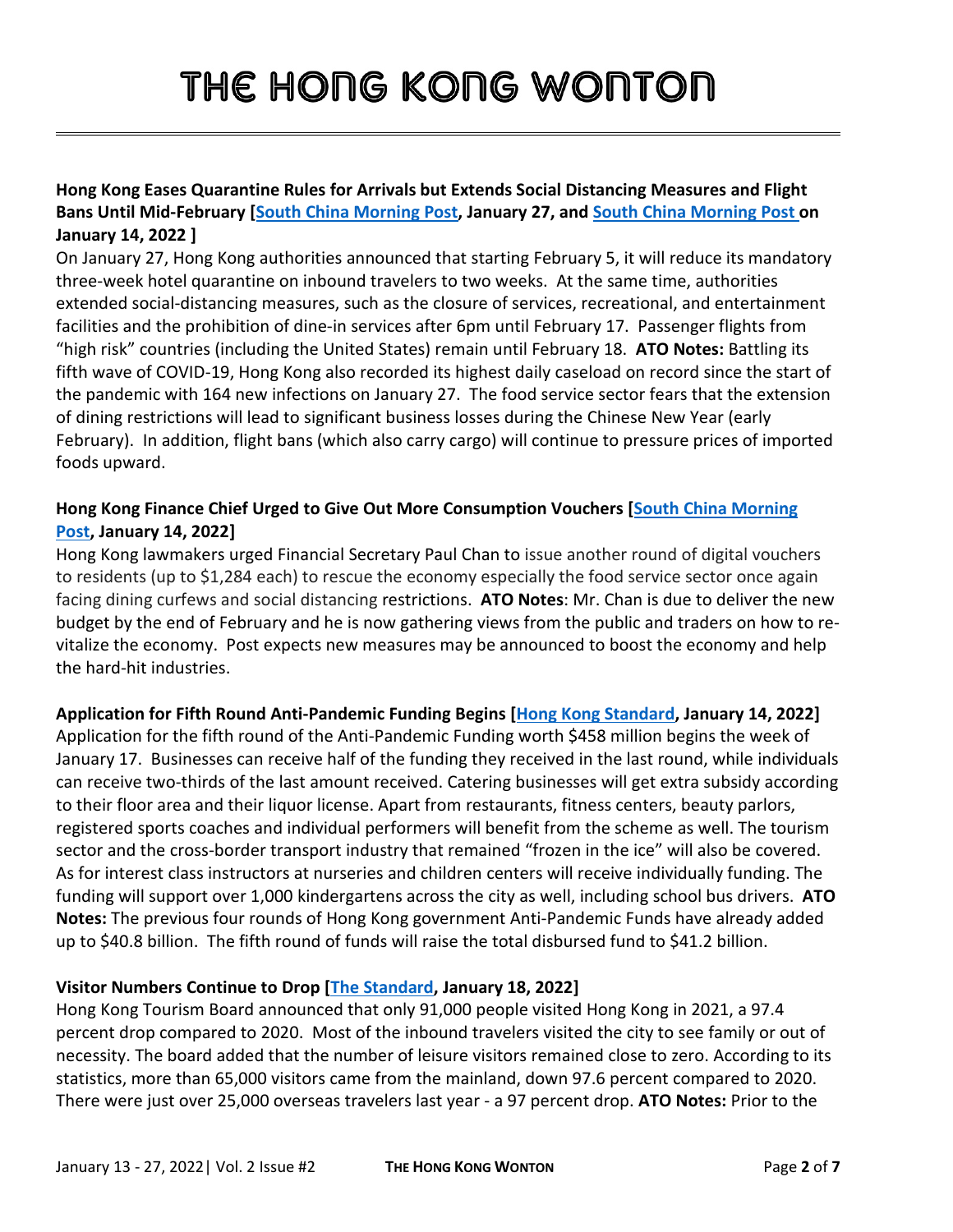# **Hong Kong Eases Quarantine Rules for Arrivals but Extends Social Distancing Measures and Flight Bans Until Mid-February [\[South China Morning Post,](https://www.scmp.com/news/hong-kong/health-environment/article/3164897/omicron-hong-kong-may-set-new-record-daily) January 27, and [South China Morning Post](https://www.scmp.com/news/hong-kong/hong-kong-economy/article/3163344/hong-kong-social-distancing-ban-evening-dine) on January 14, 2022 ]**

On January 27, Hong Kong authorities announced that starting February 5, it will reduce its mandatory three-week hotel quarantine on inbound travelers to two weeks. At the same time, authorities extended social-distancing measures, such as the closure of services, recreational, and entertainment facilities and the prohibition of dine-in services after 6pm until February 17. Passenger flights from "high risk" countries (including the United States) remain until February 18. **ATO Notes:** Battling its fifth wave of COVID-19, Hong Kong also recorded its highest daily caseload on record since the start of the pandemic with 164 new infections on January 27. The food service sector fears that the extension of dining restrictions will lead to significant business losses during the Chinese New Year (early February). In addition, flight bans (which also carry cargo) will continue to pressure prices of imported foods upward.

# **Hong Kong Finance Chief Urged to Give Out More Consumption Vouchers [\[South China Morning](https://www.scmp.com/news/hong-kong/hong-kong-economy/article/3163468/hong-kong-finance-chief-urged-roll-out-fresh-round)  [Post,](https://www.scmp.com/news/hong-kong/hong-kong-economy/article/3163468/hong-kong-finance-chief-urged-roll-out-fresh-round) January 14, 2022]**

Hong Kong lawmakers urged Financial Secretary Paul Chan to issue another round of digital vouchers to residents (up to \$1,284 each) to rescue the economy especially the food service sector once again facing dining curfews and social distancing restrictions. **ATO Notes**: Mr. Chan is due to deliver the new budget by the end of February and he is now gathering views from the public and traders on how to revitalize the economy. Post expects new measures may be announced to boost the economy and help the hard-hit industries.

# **Application for Fifth Round Anti-Pandemic Funding Begins [\[Hong Kong Standard,](https://www.thestandard.com.hk/breaking-news/section/4/185967/Application-for-HK$3.57b-anti-pandemic-funding-to-open-next-week) January 14, 2022]**

Application for the fifth round of the Anti-Pandemic Funding worth \$458 million begins the week of January 17. Businesses can receive half of the funding they received in the last round, while individuals can receive two-thirds of the last amount received. Catering businesses will get extra subsidy according to their floor area and their liquor license. Apart from restaurants, fitness centers, beauty parlors, registered sports coaches and individual performers will benefit from the scheme as well. The tourism sector and the cross-border transport industry that remained "frozen in the ice" will also be covered. As for interest class instructors at nurseries and children centers will receive individually funding. The funding will support over 1,000 kindergartens across the city as well, including school bus drivers. **ATO Notes:** The previous four rounds of Hong Kong government Anti-Pandemic Funds have already added up to \$40.8 billion. The fifth round of funds will raise the total disbursed fund to \$41.2 billion.

# **Visitor Numbers Continue to Drop [\[The Standard,](https://www.thestandard.com.hk/section-news/section/4/238100/Big-freeze-sees-tourism-numbers-worsen-in-second-Covid-year) January 18, 2022]**

Hong Kong Tourism Board announced that only 91,000 people visited Hong Kong in 2021, a 97.4 percent drop compared to 2020. Most of the inbound travelers visited the city to see family or out of necessity. The board added that the number of leisure visitors remained close to zero. According to its statistics, more than 65,000 visitors came from the mainland, down 97.6 percent compared to 2020. There were just over 25,000 overseas travelers last year - a 97 percent drop. **ATO Notes:** Prior to the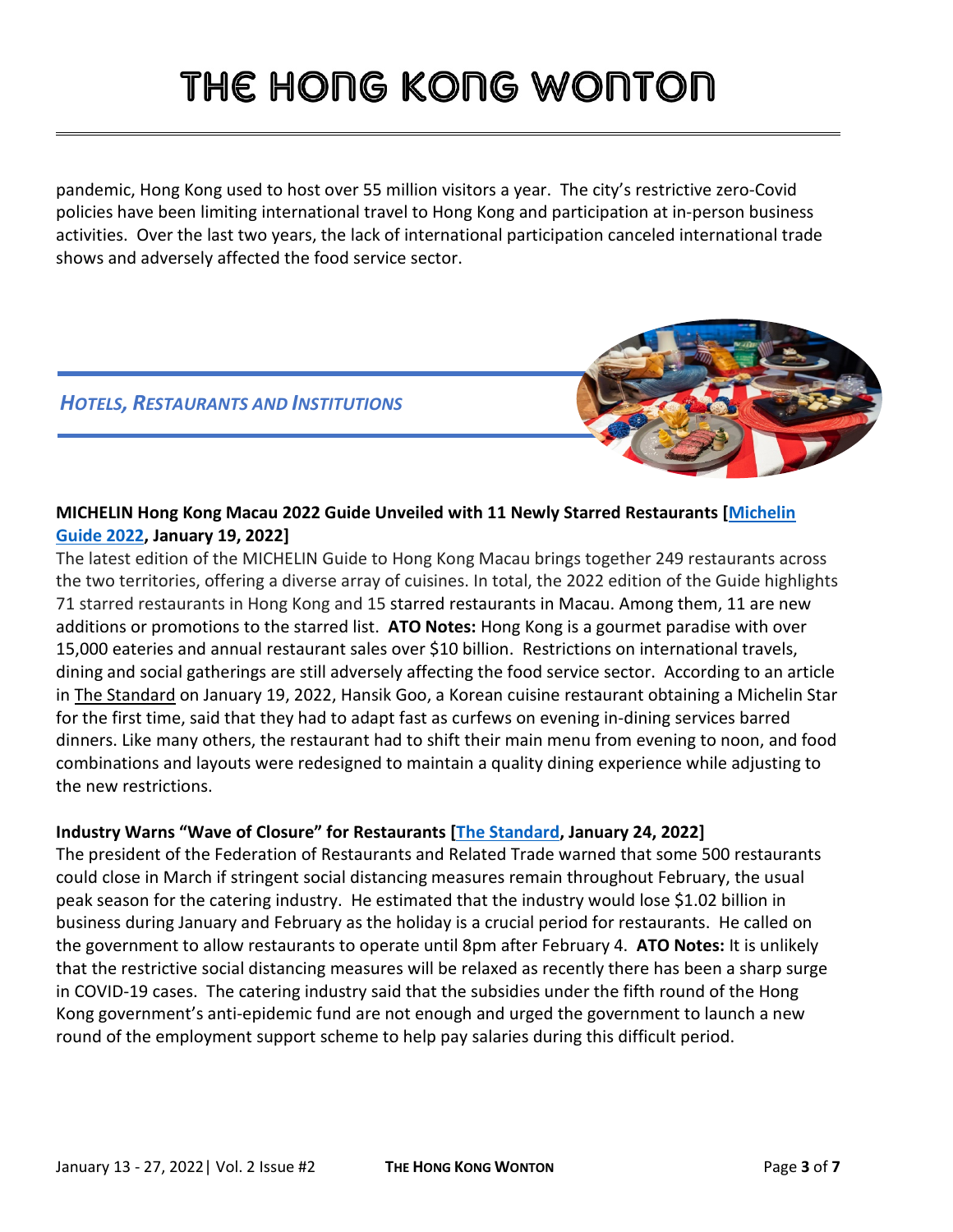pandemic, Hong Kong used to host over 55 million visitors a year. The city's restrictive zero-Covid policies have been limiting international travel to Hong Kong and participation at in-person business activities. Over the last two years, the lack of international participation canceled international trade shows and adversely affected the food service sector.

# *HOTELS, RESTAURANTS AND INSTITUTIONS*



# **MICHELIN Hong Kong Macau 2022 Guide Unveiled with 11 Newly Starred Restaurants [\[Michelin](https://guide.michelin.com/hk/en/article/news-and-views/michelin-guide-hong-kong-macau-2022-unveiled-today-with-11-newly-starred-restaurants)  [Guide 2022,](https://guide.michelin.com/hk/en/article/news-and-views/michelin-guide-hong-kong-macau-2022-unveiled-today-with-11-newly-starred-restaurants) January 19, 2022]**

The latest edition of the MICHELIN Guide to Hong Kong Macau brings together 249 restaurants across the two territories, offering a diverse array of cuisines. In total, the 2022 edition of the Guide highlights 71 starred restaurants in Hong Kong and 15 starred restaurants in Macau. Among them, 11 are new additions or promotions to the starred list. **ATO Notes:** Hong Kong is a gourmet paradise with over 15,000 eateries and annual restaurant sales over \$10 billion. Restrictions on international travels, dining and social gatherings are still adversely affecting the food service sector. According to an article in The [Standard](https://www.thestandard.com.hk/breaking-news/section/4/186185/Nine-Hong-Kong-restaurants-obtain-a-Michelin-star-for-the-first-time) on January 19, 2022, Hansik Goo, a Korean cuisine restaurant obtaining a Michelin Star for the first time, said that they had to adapt fast as curfews on evening in-dining services barred dinners. Like many others, the restaurant had to shift their main menu from evening to noon, and food combinations and layouts were redesigned to maintain a quality dining experience while adjusting to the new restrictions.

# **Industry Warns "Wave of Closure" for Restaurants [\[The Standard,](https://www.thestandard.com.hk/section-news/section/11/238307/Closure-warning-if-restaurants-denied-peak-season-dinners) January 24, 2022]**

The president of the Federation of Restaurants and Related Trade warned that some 500 restaurants could close in March if stringent social distancing measures remain throughout February, the usual peak season for the catering industry. He estimated that the industry would lose \$1.02 billion in business during January and February as the holiday is a crucial period for restaurants. He called on the government to allow restaurants to operate until 8pm after February 4. **ATO Notes:** It is unlikely that the restrictive social distancing measures will be relaxed as recently there has been a sharp surge in COVID-19 cases. The catering industry said that the subsidies under the fifth round of the Hong Kong government's anti-epidemic fund are not enough and urged the government to launch a new round of the employment support scheme to help pay salaries during this difficult period.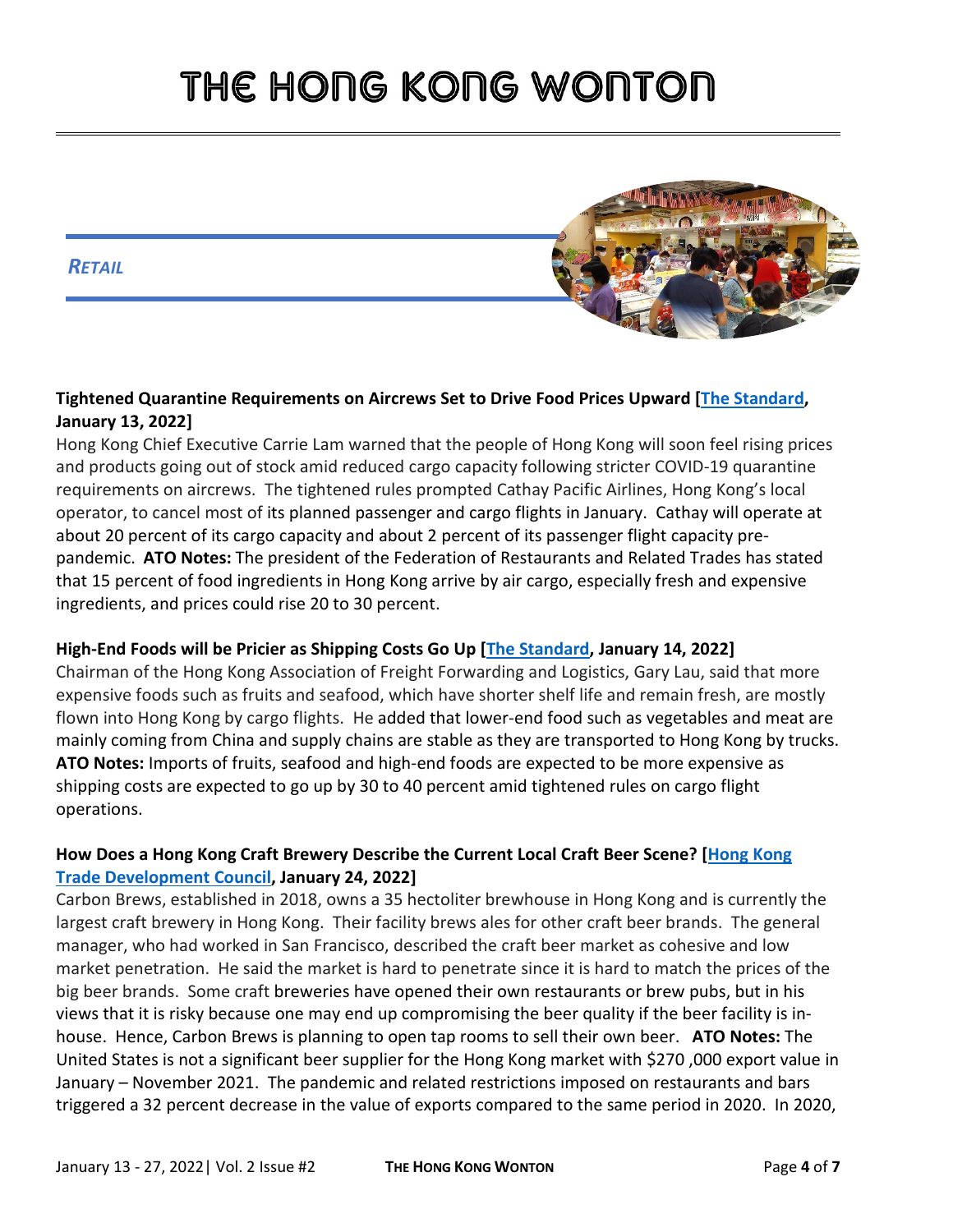#### *RETAIL*



#### **Tightened Quarantine Requirements on Aircrews Set to Drive Food Prices Upward [\[The Standard,](https://www.thestandard.com.hk/section-news/section/11/237960/Price-hikes,-shortages-loom-with-cargo-squeeze) January 13, 2022]**

Hong Kong Chief Executive Carrie Lam warned that the people of Hong Kong will soon feel rising prices and products going out of stock amid reduced cargo capacity following stricter COVID-19 quarantine requirements on aircrews. The tightened rules prompted Cathay Pacific Airlines, Hong Kong's local operator, to cancel most of its planned passenger and cargo flights in January. Cathay will operate at about 20 percent of its cargo capacity and about 2 percent of its passenger flight capacity prepandemic. **ATO Notes:** The president of the Federation of Restaurants and Related Trades has stated that 15 percent of food ingredients in Hong Kong arrive by air cargo, especially fresh and expensive ingredients, and prices could rise 20 to 30 percent.

# **High-End Foods will be Pricier as Shipping Costs Go Up [\[The Standard,](https://www.thestandard.com.hk/section-news/section/11/238016/Prices-of-flown-in-fresh-food,-high-end-online-goods-set-to-rise) January 14, 2022]**

Chairman of the Hong Kong Association of Freight Forwarding and Logistics, Gary Lau, said that more expensive foods such as fruits and seafood, which have shorter shelf life and remain fresh, are mostly flown into Hong Kong by cargo flights. He added that lower-end food such as vegetables and meat are mainly coming from China and supply chains are stable as they are transported to Hong Kong by trucks. **ATO Notes:** Imports of fruits, seafood and high-end foods are expected to be more expensive as shipping costs are expected to go up by 30 to 40 percent amid tightened rules on cargo flight operations.

# **How Does a Hong Kong Craft Brewery Describe the Current Local Craft Beer Scene? [\[Hong Kong](https://hkmb.hktdc.com/en/4ogvxj6l/craft-brewers-win-consumer-support?utm_source=enews&utm_medium=email&utm_campaign=hkmb-edm)  [Trade Development Council,](https://hkmb.hktdc.com/en/4ogvxj6l/craft-brewers-win-consumer-support?utm_source=enews&utm_medium=email&utm_campaign=hkmb-edm) January 24, 2022]**

Carbon Brews, established in 2018, owns a 35 hectoliter brewhouse in Hong Kong and is currently the largest craft brewery in Hong Kong. Their facility brews ales for other craft beer brands. The general manager, who had worked in San Francisco, described the craft beer market as cohesive and low market penetration. He said the market is hard to penetrate since it is hard to match the prices of the big beer brands. Some craft breweries have opened their own restaurants or brew pubs, but in his views that it is risky because one may end up compromising the beer quality if the beer facility is inhouse. Hence, Carbon Brews is planning to open tap rooms to sell their own beer. **ATO Notes:** The United States is not a significant beer supplier for the Hong Kong market with \$270 ,000 export value in January – November 2021. The pandemic and related restrictions imposed on restaurants and bars triggered a 32 percent decrease in the value of exports compared to the same period in 2020. In 2020,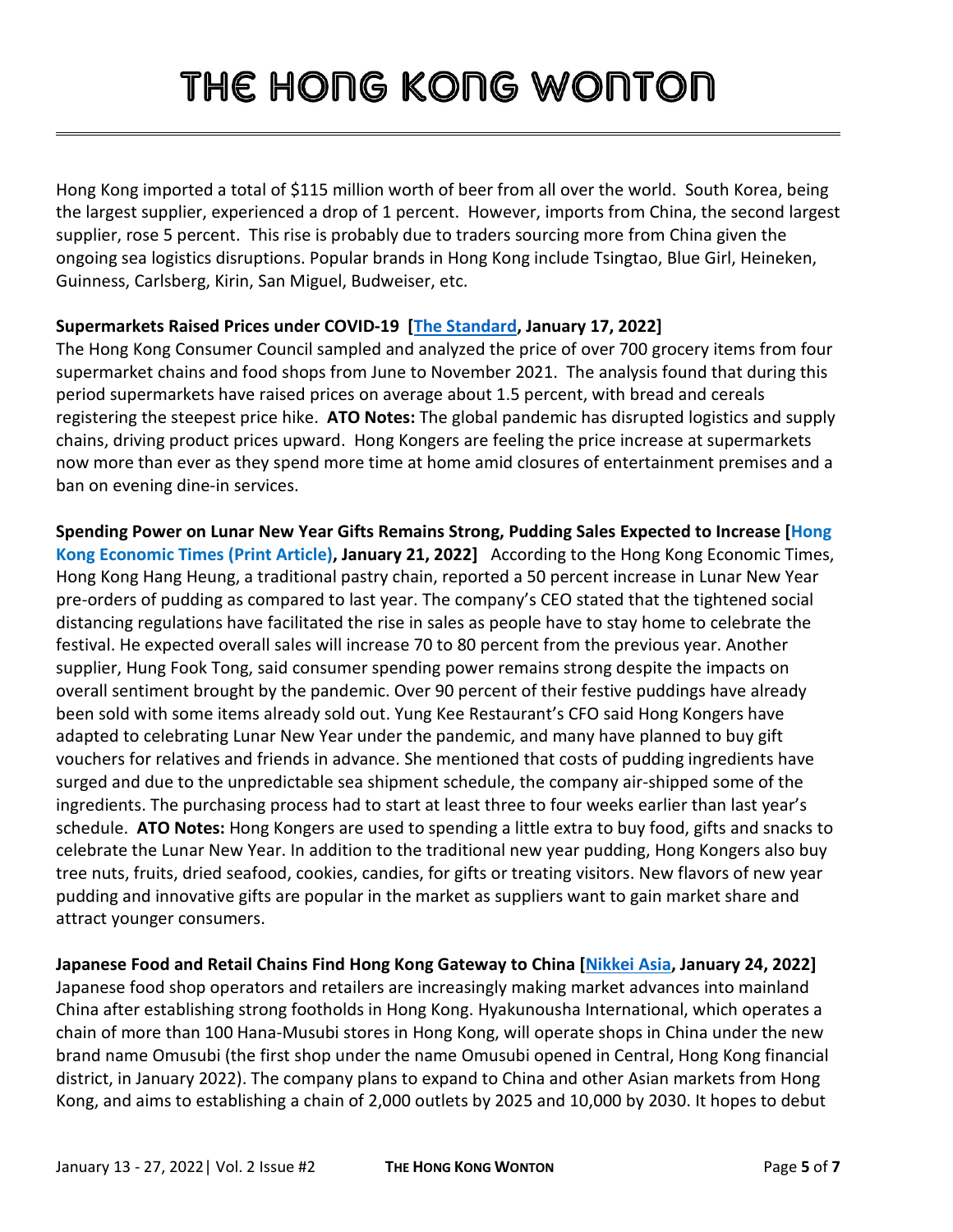Hong Kong imported a total of \$115 million worth of beer from all over the world. South Korea, being the largest supplier, experienced a drop of 1 percent. However, imports from China, the second largest supplier, rose 5 percent. This rise is probably due to traders sourcing more from China given the ongoing sea logistics disruptions. Popular brands in Hong Kong include Tsingtao, Blue Girl, Heineken, Guinness, Carlsberg, Kirin, San Miguel, Budweiser, etc.

#### **Supermarkets Raised Prices under COVID-19 [\[The Standard,](https://www.thestandard.com.hk/breaking-news/section/4/186041/Prices-at-supermarkets-increase-1.5-pc-in-half-a-year:-Consumer-Council) January 17, 2022]**

The Hong Kong Consumer Council sampled and analyzed the price of over 700 grocery items from four supermarket chains and food shops from June to November 2021. The analysis found that during this period supermarkets have raised prices on average about 1.5 percent, with bread and cereals registering the steepest price hike. **ATO Notes:** The global pandemic has disrupted logistics and supply chains, driving product prices upward. Hong Kongers are feeling the price increase at supermarkets now more than ever as they spend more time at home amid closures of entertainment premises and a ban on evening dine-in services.

**Spending Power on Lunar New Year Gifts Remains Strong, Pudding Sales Expected to Increase [Hong Kong Economic Times (Print Article), January 21, 2022]** According to the Hong Kong Economic Times, Hong Kong Hang Heung, a traditional pastry chain, reported a 50 percent increase in Lunar New Year pre-orders of pudding as compared to last year. The company's CEO stated that the tightened social distancing regulations have facilitated the rise in sales as people have to stay home to celebrate the festival. He expected overall sales will increase 70 to 80 percent from the previous year. Another supplier, Hung Fook Tong, said consumer spending power remains strong despite the impacts on overall sentiment brought by the pandemic. Over 90 percent of their festive puddings have already been sold with some items already sold out. Yung Kee Restaurant's CFO said Hong Kongers have adapted to celebrating Lunar New Year under the pandemic, and many have planned to buy gift vouchers for relatives and friends in advance. She mentioned that costs of pudding ingredients have surged and due to the unpredictable sea shipment schedule, the company air-shipped some of the ingredients. The purchasing process had to start at least three to four weeks earlier than last year's schedule. **ATO Notes:** Hong Kongers are used to spending a little extra to buy food, gifts and snacks to celebrate the Lunar New Year. In addition to the traditional new year pudding, Hong Kongers also buy tree nuts, fruits, dried seafood, cookies, candies, for gifts or treating visitors. New flavors of new year pudding and innovative gifts are popular in the market as suppliers want to gain market share and attract younger consumers.

**Japanese Food and Retail Chains Find Hong Kong Gateway to China [\[Nikkei Asia,](https://asia.nikkei.com/Business/Food-Beverage/Hong-Kong-Japanese-food-and-retail-chains-find-gateway-to-China) January 24, 2022]** 

Japanese food shop operators and retailers are increasingly making market advances into mainland China after establishing strong footholds in Hong Kong. Hyakunousha International, which operates a chain of more than 100 Hana-Musubi stores in Hong Kong, will operate shops in China under the new brand name Omusubi (the first shop under the name Omusubi opened in Central, Hong Kong financial district, in January 2022). The company plans to expand to China and other Asian markets from Hong Kong, and aims to establishing a chain of 2,000 outlets by 2025 and 10,000 by 2030. It hopes to debut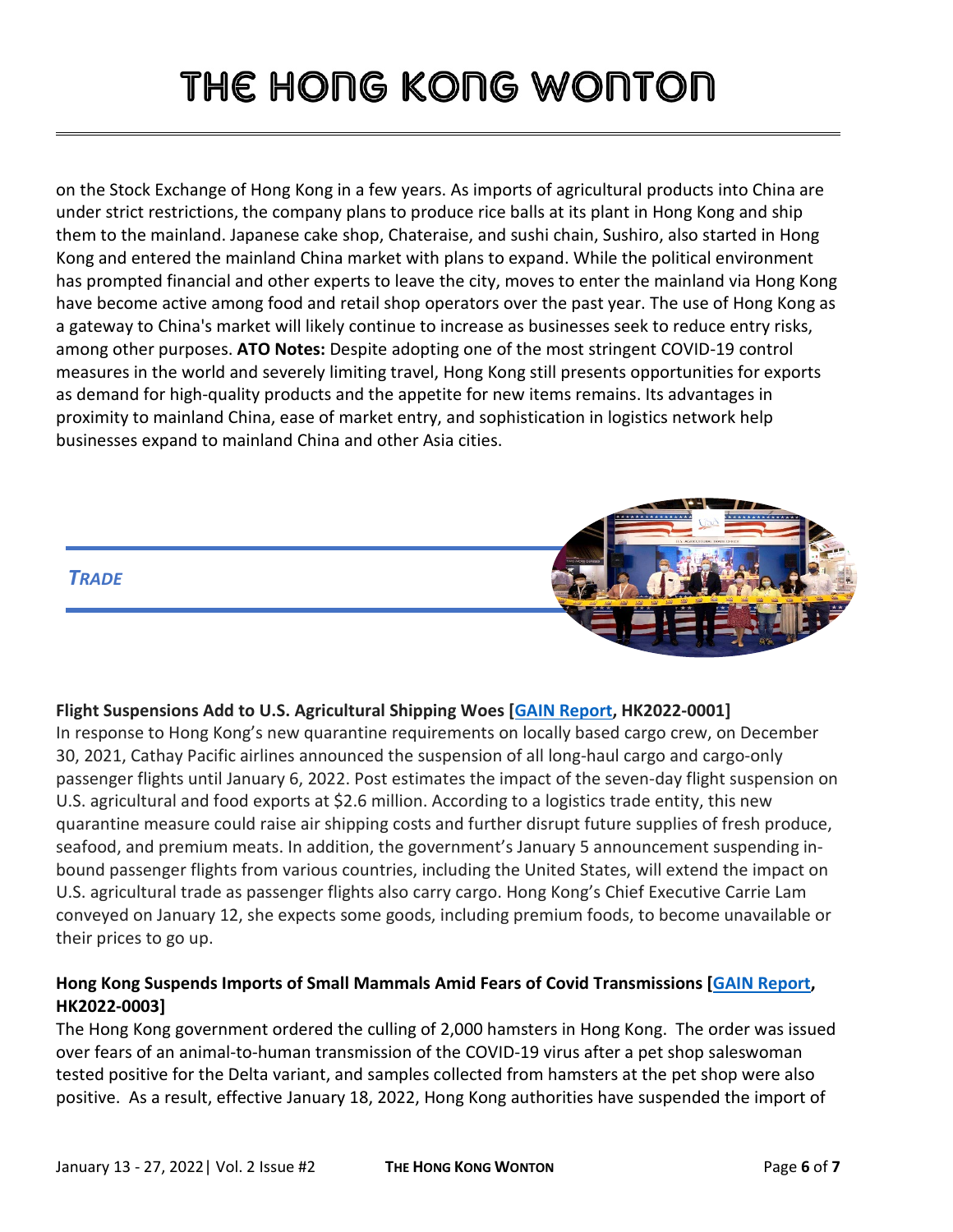on the Stock Exchange of Hong Kong in a few years. As imports of agricultural products into China are under strict restrictions, the company plans to produce rice balls at its plant in Hong Kong and ship them to the mainland. Japanese cake shop, Chateraise, and sushi chain, Sushiro, also started in Hong Kong and entered the mainland China market with plans to expand. While the political environment has prompted financial and other experts to leave the city, moves to enter the mainland via Hong Kong have become active among food and retail shop operators over the past year. The use of Hong Kong as a gateway to China's market will likely continue to increase as businesses seek to reduce entry risks, among other purposes. **ATO Notes:** Despite adopting one of the most stringent COVID-19 control measures in the world and severely limiting travel, Hong Kong still presents opportunities for exports as demand for high-quality products and the appetite for new items remains. Its advantages in proximity to mainland China, ease of market entry, and sophistication in logistics network help businesses expand to mainland China and other Asia cities.



#### **Flight Suspensions Add to U.S. Agricultural Shipping Woes [\[GAIN Report,](https://www.fas.usda.gov/data/hong-kong-flight-suspensions-add-us-agricultural-shipping-woes) HK2022-0001]**

In response to Hong Kong's new quarantine requirements on locally based cargo crew, on December 30, 2021, Cathay Pacific airlines announced the suspension of all long-haul cargo and cargo-only passenger flights until January 6, 2022. Post estimates the impact of the seven-day flight suspension on U.S. agricultural and food exports at \$2.6 million. According to a logistics trade entity, this new quarantine measure could raise air shipping costs and further disrupt future supplies of fresh produce, seafood, and premium meats. In addition, the government's January 5 announcement suspending inbound passenger flights from various countries, including the United States, will extend the impact on U.S. agricultural trade as passenger flights also carry cargo. Hong Kong's Chief Executive Carrie Lam conveyed on January 12, she expects some goods, including premium foods, to become unavailable or their prices to go up.

# **Hong Kong Suspends Imports of Small Mammals Amid Fears of Covid Transmissions [GAIN [Report,](https://www.fas.usda.gov/data/hong-kong-hong-kong-suspends-imports-small-mammals-amid-fears-covid-transmissions) HK2022-0003]**

The Hong Kong government ordered the culling of 2,000 hamsters in Hong Kong. The order was issued over fears of an animal-to-human transmission of the COVID-19 virus after a pet shop saleswoman tested positive for the Delta variant, and samples collected from hamsters at the pet shop were also positive. As a result, effective January 18, 2022, Hong Kong authorities have suspended the import of